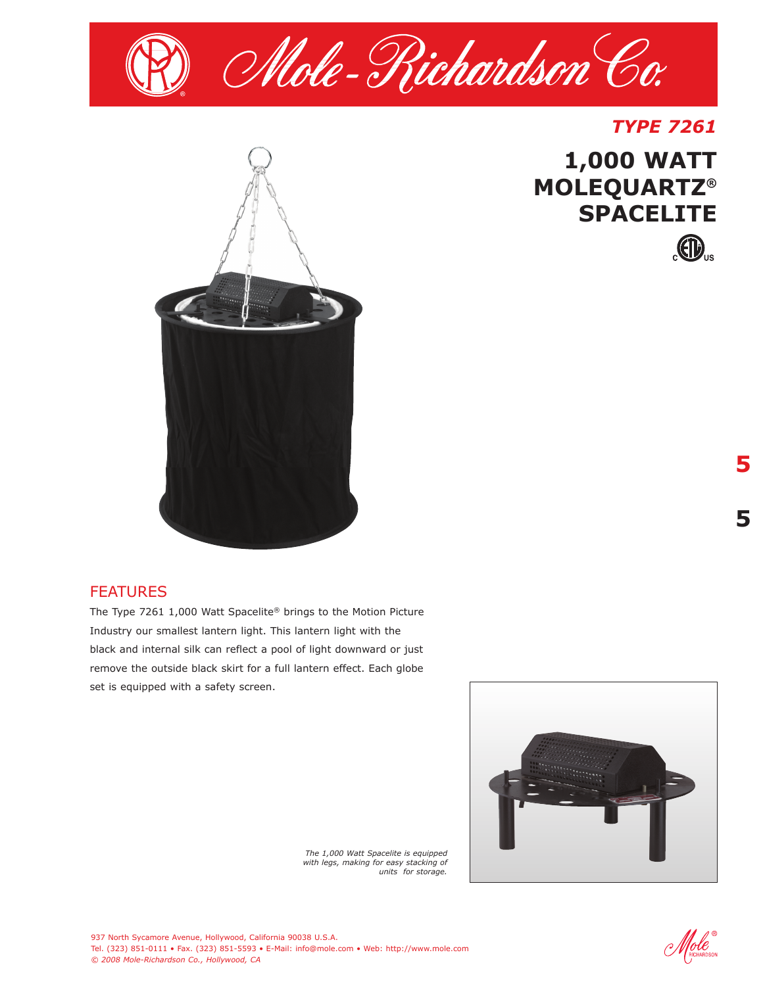



### FEATURES

The Type 7261 1,000 Watt Spacelite® brings to the Motion Picture Industry our smallest lantern light. This lantern light with the black and internal silk can reflect a pool of light downward or just remove the outside black skirt for a full lantern effect. Each globe set is equipped with a safety screen.



*The 1,000 Watt Spacelite is equipped with legs, making for easy stacking of units for storage.*

 $\mathscr{H}$ ole

*TYPE 7261*

 $\bigoplus$ 

**1,000 WATT**

**SPACELITE**

**MOLEQUARTZ®**